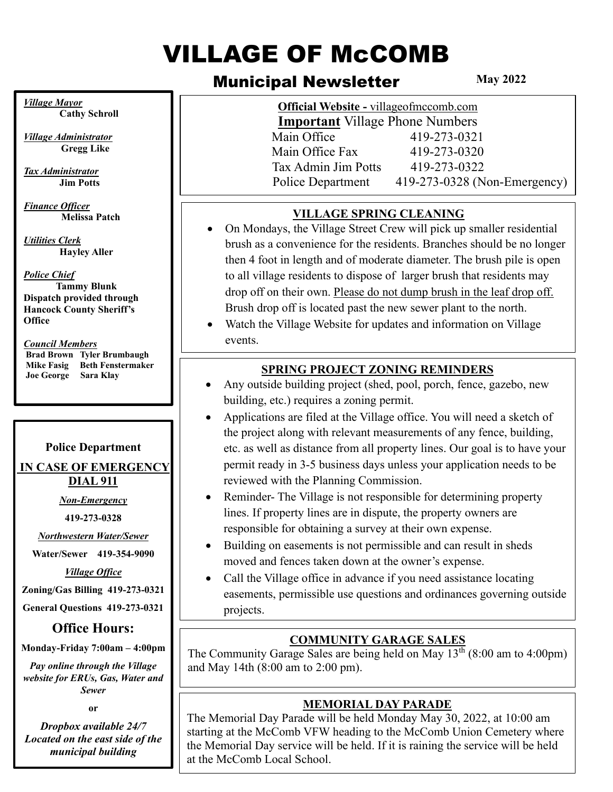# VILLAGE OF McCOMB

# Municipal Newsletter

**May 2022**

| <b>Official Website - villageofmccomb.com</b><br><b>Important Village Phone Numbers</b> |                              |
|-----------------------------------------------------------------------------------------|------------------------------|
|                                                                                         |                              |
| Main Office Fax                                                                         | 419-273-0320                 |
| Tax Admin Jim Potts                                                                     | 419-273-0322                 |
| Police Department                                                                       | 419-273-0328 (Non-Emergency) |

## **VILLAGE SPRING CLEANING**

- On Mondays, the Village Street Crew will pick up smaller residential brush as a convenience for the residents. Branches should be no longer then 4 foot in length and of moderate diameter. The brush pile is open to all village residents to dispose of larger brush that residents may drop off on their own. Please do not dump brush in the leaf drop off. Brush drop off is located past the new sewer plant to the north.
- Watch the Village Website for updates and information on Village events.

## **SPRING PROJECT ZONING REMINDERS**

- Any outside building project (shed, pool, porch, fence, gazebo, new building, etc.) requires a zoning permit.
- Applications are filed at the Village office. You will need a sketch of the project along with relevant measurements of any fence, building, etc. as well as distance from all property lines. Our goal is to have your permit ready in 3-5 business days unless your application needs to be reviewed with the Planning Commission.
- Reminder-The Village is not responsible for determining property lines. If property lines are in dispute, the property owners are responsible for obtaining a survey at their own expense.
- Building on easements is not permissible and can result in sheds moved and fences taken down at the owner's expense.
- Call the Village office in advance if you need assistance locating easements, permissible use questions and ordinances governing outside projects.

# **COMMUNITY GARAGE SALES**

The Community Garage Sales are being held on May  $13<sup>th</sup>$  (8:00 am to 4:00pm) and May 14th (8:00 am to 2:00 pm).

## **MEMORIAL DAY PARADE**

The Memorial Day Parade will be held Monday May 30, 2022, at 10:00 am starting at the McComb VFW heading to the McComb Union Cemetery where the Memorial Day service will be held. If it is raining the service will be held at the McComb Local School.

*Village Mayor* **Cathy Schroll**

*Village Administrator*  **Gregg Like**

*Tax Administrator* **Jim Potts**

*Finance Officer*  **Melissa Patch**

*Utilities Clerk* **Hayley Aller**

#### *Police Chief*

 **Tammy Blunk Dispatch provided through Hancock County Sheriff's Office**

#### *Council Members*

**Brad Brown Tyler Brumbaugh Mike Fasig Beth Fenstermaker Joe George Sara Klay**

#### **Police Department**

#### **IN CASE OF EMERGENCY DIAL 911**

*Non-Emergency* 

**419-273-0328**

*Northwestern Water/Sewer*

**Water/Sewer 419-354-9090**

*Village Office*

**Zoning/Gas Billing 419-273-0321**

**General Questions 419-273-0321**

# **Office Hours:**

**Monday-Friday 7:00am – 4:00pm**

*Pay online through the Village website for ERUs, Gas, Water and Sewer*

**or**

*Dropbox available 24/7 Located on the east side of the municipal building*